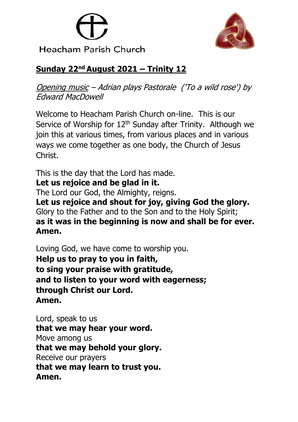



# **Sunday 22nd August 2021 – Trinity 12**

Opening music – Adrian plays Pastorale ('To a wild rose') by Edward MacDowell

Welcome to Heacham Parish Church on-line. This is our Service of Worship for  $12<sup>th</sup>$  Sunday after Trinity. Although we join this at various times, from various places and in various ways we come together as one body, the Church of Jesus Christ.

This is the day that the Lord has made.

### **Let us rejoice and be glad in it.**

The Lord our God, the Almighty, reigns.

**Let us rejoice and shout for joy, giving God the glory.** Glory to the Father and to the Son and to the Holy Spirit; **as it was in the beginning is now and shall be for ever. Amen.**

Loving God, we have come to worship you. **Help us to pray to you in faith, to sing your praise with gratitude, and to listen to your word with eagerness; through Christ our Lord. Amen.**

Lord, speak to us **that we may hear your word.** Move among us **that we may behold your glory.** Receive our prayers **that we may learn to trust you. Amen.**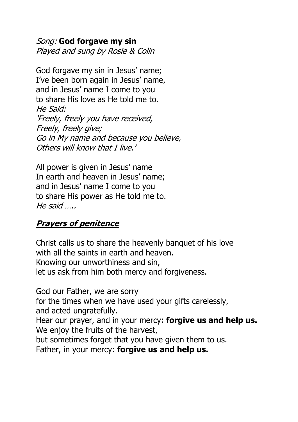Song: **God forgave my sin** Played and sung by Rosie & Colin

God forgave my sin in Jesus' name; I've been born again in Jesus' name, and in Jesus' name I come to you to share His love as He told me to. He Said: 'Freely, freely you have received, Freely, freely give; Go in My name and because you believe, Others will know that I live.'

All power is given in Jesus' name In earth and heaven in Jesus' name; and in Jesus' name I come to you to share His power as He told me to. He said …..

#### **Prayers of penitence**

Christ calls us to share the heavenly banquet of his love with all the saints in earth and heaven. Knowing our unworthiness and sin, let us ask from him both mercy and forgiveness.

God our Father, we are sorry for the times when we have used your gifts carelessly, and acted ungratefully. Hear our prayer, and in your mercy**: forgive us and help us.** We enjoy the fruits of the harvest, but sometimes forget that you have given them to us. Father, in your mercy: **forgive us and help us.**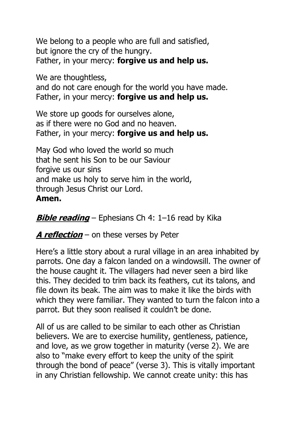We belong to a people who are full and satisfied, but ignore the cry of the hungry. Father, in your mercy: **forgive us and help us.**

We are thoughtless,

and do not care enough for the world you have made. Father, in your mercy: **forgive us and help us.**

We store up goods for ourselves alone, as if there were no God and no heaven. Father, in your mercy: **forgive us and help us.**

May God who loved the world so much that he sent his Son to be our Saviour forgive us our sins and make us holy to serve him in the world, through Jesus Christ our Lord. **Amen.**

**Bible reading** – Ephesians Ch 4: 1–16 read by Kika

**A reflection** – on these verses by Peter

Here's a little story about a rural village in an area inhabited by parrots. One day a falcon landed on a windowsill. The owner of the house caught it. The villagers had never seen a bird like this. They decided to trim back its feathers, cut its talons, and file down its beak. The aim was to make it like the birds with which they were familiar. They wanted to turn the falcon into a parrot. But they soon realised it couldn't be done.

All of us are called to be similar to each other as Christian believers. We are to exercise humility, gentleness, patience, and love, as we grow together in maturity (verse 2). We are also to "make every effort to keep the unity of the spirit through the bond of peace" (verse 3). This is vitally important in any Christian fellowship. We cannot create unity: this has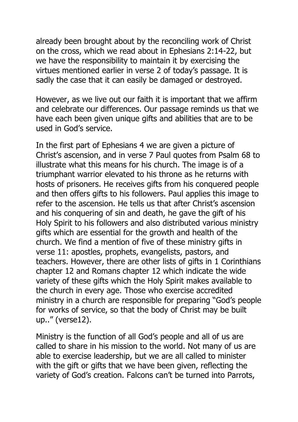already been brought about by the reconciling work of Christ on the cross, which we read about in Ephesians 2:14-22, but we have the responsibility to maintain it by exercising the virtues mentioned earlier in verse 2 of today's passage. It is sadly the case that it can easily be damaged or destroyed.

However, as we live out our faith it is important that we affirm and celebrate our differences. Our passage reminds us that we have each been given unique gifts and abilities that are to be used in God's service.

In the first part of Ephesians 4 we are given a picture of Christ's ascension, and in verse 7 Paul quotes from Psalm 68 to illustrate what this means for his church. The image is of a triumphant warrior elevated to his throne as he returns with hosts of prisoners. He receives gifts from his conquered people and then offers gifts to his followers. Paul applies this image to refer to the ascension. He tells us that after Christ's ascension and his conquering of sin and death, he gave the gift of his Holy Spirit to his followers and also distributed various ministry gifts which are essential for the growth and health of the church. We find a mention of five of these ministry gifts in verse 11: apostles, prophets, evangelists, pastors, and teachers. However, there are other lists of gifts in 1 Corinthians chapter 12 and Romans chapter 12 which indicate the wide variety of these gifts which the Holy Spirit makes available to the church in every age. Those who exercise accredited ministry in a church are responsible for preparing "God's people for works of service, so that the body of Christ may be built up.." (verse12).

Ministry is the function of all God's people and all of us are called to share in his mission to the world. Not many of us are able to exercise leadership, but we are all called to minister with the gift or gifts that we have been given, reflecting the variety of God's creation. Falcons can't be turned into Parrots,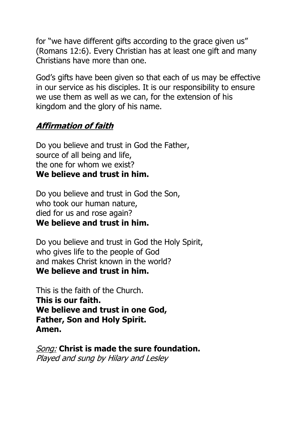for "we have different gifts according to the grace given us" (Romans 12:6). Every Christian has at least one gift and many Christians have more than one.

God's gifts have been given so that each of us may be effective in our service as his disciples. It is our responsibility to ensure we use them as well as we can, for the extension of his kingdom and the glory of his name.

# **Affirmation of faith**

Do you believe and trust in God the Father, source of all being and life, the one for whom we exist? **We believe and trust in him.**

Do you believe and trust in God the Son, who took our human nature, died for us and rose again? **We believe and trust in him.**

Do you believe and trust in God the Holy Spirit, who gives life to the people of God and makes Christ known in the world? **We believe and trust in him.**

This is the faith of the Church. **This is our faith. We believe and trust in one God, Father, Son and Holy Spirit. Amen.**

Song: **Christ is made the sure foundation.** Played and sung by Hilary and Lesley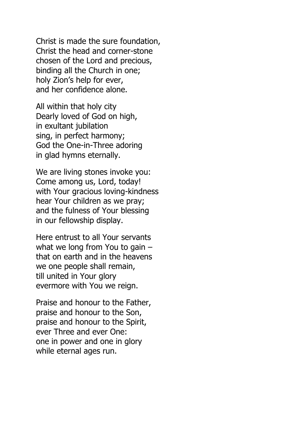Christ is made the sure foundation, Christ the head and corner-stone chosen of the Lord and precious, binding all the Church in one; holy Zion's help for ever, and her confidence alone.

All within that holy city Dearly loved of God on high, in exultant jubilation sing, in perfect harmony; God the One-in-Three adoring in glad hymns eternally.

We are living stones invoke you: Come among us, Lord, today! with Your gracious loving-kindness hear Your children as we pray; and the fulness of Your blessing in our fellowship display.

Here entrust to all Your servants what we long from You to gain – that on earth and in the heavens we one people shall remain, till united in Your glory evermore with You we reign.

Praise and honour to the Father, praise and honour to the Son, praise and honour to the Spirit, ever Three and ever One: one in power and one in glory while eternal ages run.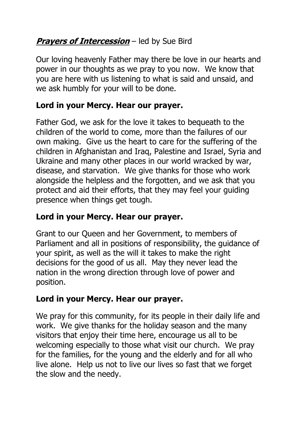# *Prayers of Intercession* – led by Sue Bird

Our loving heavenly Father may there be love in our hearts and power in our thoughts as we pray to you now. We know that you are here with us listening to what is said and unsaid, and we ask humbly for your will to be done.

### **Lord in your Mercy. Hear our prayer.**

Father God, we ask for the love it takes to bequeath to the children of the world to come, more than the failures of our own making. Give us the heart to care for the suffering of the children in Afghanistan and Iraq, Palestine and Israel, Syria and Ukraine and many other places in our world wracked by war, disease, and starvation. We give thanks for those who work alongside the helpless and the forgotten, and we ask that you protect and aid their efforts, that they may feel your guiding presence when things get tough.

### **Lord in your Mercy. Hear our prayer.**

Grant to our Queen and her Government, to members of Parliament and all in positions of responsibility, the guidance of your spirit, as well as the will it takes to make the right decisions for the good of us all. May they never lead the nation in the wrong direction through love of power and position.

## **Lord in your Mercy. Hear our prayer.**

We pray for this community, for its people in their daily life and work. We give thanks for the holiday season and the many visitors that enjoy their time here, encourage us all to be welcoming especially to those what visit our church. We pray for the families, for the young and the elderly and for all who live alone. Help us not to live our lives so fast that we forget the slow and the needy.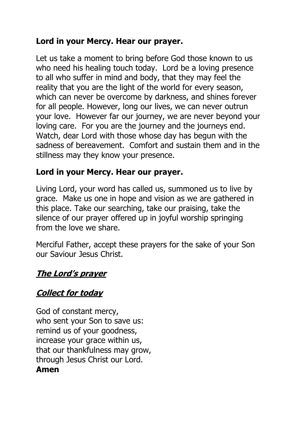### **Lord in your Mercy. Hear our prayer.**

Let us take a moment to bring before God those known to us who need his healing touch today. Lord be a loving presence to all who suffer in mind and body, that they may feel the reality that you are the light of the world for every season, which can never be overcome by darkness, and shines forever for all people. However, long our lives, we can never outrun your love. However far our journey, we are never beyond your loving care. For you are the journey and the journeys end. Watch, dear Lord with those whose day has begun with the sadness of bereavement. Comfort and sustain them and in the stillness may they know your presence.

### **Lord in your Mercy. Hear our prayer.**

Living Lord, your word has called us, summoned us to live by grace. Make us one in hope and vision as we are gathered in this place. Take our searching, take our praising, take the silence of our prayer offered up in joyful worship springing from the love we share.

Merciful Father, accept these prayers for the sake of your Son our Saviour Jesus Christ.

## **The Lord's prayer**

# **Collect for today**

God of constant mercy, who sent your Son to save us: remind us of your goodness, increase your grace within us, that our thankfulness may grow, through Jesus Christ our Lord. **Amen**